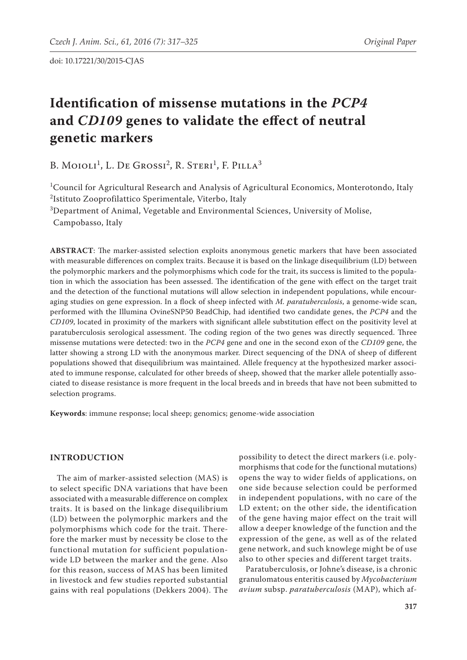# **Identification of missense mutations in the** *PCP4* **and** *CD109* **genes to validate the effect of neutral genetic markers**

B. Moioli<sup>1</sup>, L. De Grossi<sup>2</sup>, R. Steri<sup>1</sup>, F. Pilla<sup>3</sup>

<sup>1</sup>Council for Agricultural Research and Analysis of Agricultural Economics, Monterotondo, Italy 2 Istituto Zooprofilattico Sperimentale, Viterbo, Italy

3 Department of Animal, Vegetable and Environmental Sciences, University of Molise, Campobasso, Italy

**ABSTRACT**: The marker-assisted selection exploits anonymous genetic markers that have been associated with measurable differences on complex traits. Because it is based on the linkage disequilibrium (LD) between the polymorphic markers and the polymorphisms which code for the trait, its success is limited to the population in which the association has been assessed. The identification of the gene with effect on the target trait and the detection of the functional mutations will allow selection in independent populations, while encouraging studies on gene expression. In a flock of sheep infected with *M. paratuberculosis*, a genome-wide scan, performed with the Illumina OvineSNP50 BeadChip, had identified two candidate genes, the *PCP4* and the *CD109*, located in proximity of the markers with significant allele substitution effect on the positivity level at paratuberculosis serological assessment. The coding region of the two genes was directly sequenced. Three missense mutations were detected: two in the *PCP4* gene and one in the second exon of the *CD109* gene, the latter showing a strong LD with the anonymous marker. Direct sequencing of the DNA of sheep of different populations showed that disequilibrium was maintained. Allele frequency at the hypothesized marker associated to immune response, calculated for other breeds of sheep, showed that the marker allele potentially associated to disease resistance is more frequent in the local breeds and in breeds that have not been submitted to selection programs.

**Keywords**: immune response; local sheep; genomics; genome-wide association

## **INTRODUCTION**

The aim of marker-assisted selection (MAS) is to select specific DNA variations that have been associated with a measurable difference on complex traits. It is based on the linkage disequilibrium (LD) between the polymorphic markers and the polymorphisms which code for the trait. Therefore the marker must by necessity be close to the functional mutation for sufficient populationwide LD between the marker and the gene. Also for this reason, success of MAS has been limited in livestock and few studies reported substantial gains with real populations (Dekkers 2004). The

possibility to detect the direct markers (i.e. polymorphisms that code for the functional mutations) opens the way to wider fields of applications, on one side because selection could be performed in independent populations, with no care of the LD extent; on the other side, the identification of the gene having major effect on the trait will allow a deeper knowledge of the function and the expression of the gene, as well as of the related gene network, and such knowlege might be of use also to other species and different target traits.

Paratuberculosis, or Johne's disease, is a chronic granulomatous enteritis caused by *Mycobacterium avium* subsp. *paratuberculosis* (MAP), which af-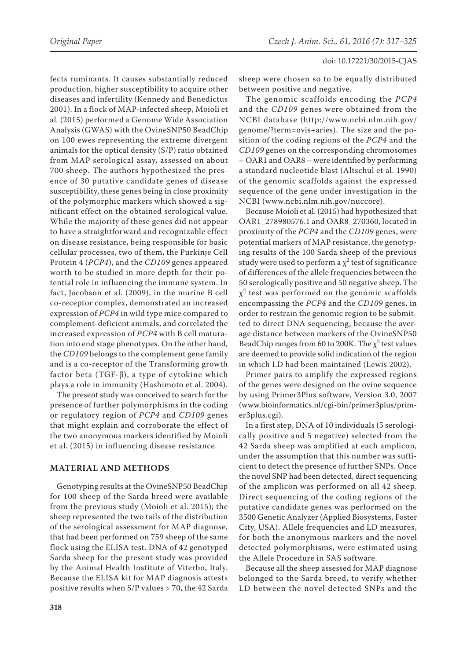fects ruminants. It causes substantially reduced production, higher susceptibility to acquire other diseases and infertility (Kennedy and Benedictus 2001). In a flock of MAP-infected sheep, Moioli et al*.* (2015) performed a Genome Wide Association Analysis (GWAS) with the OvineSNP50 BeadChip on 100 ewes representing the extreme divergent animals for the optical density (S/P) ratio obtained from MAP serological assay, assessed on about 700 sheep. The authors hypothesized the presence of 30 putative candidate genes of disease susceptibility, these genes being in close proximity of the polymorphic markers which showed a significant effect on the obtained serological value. While the majority of these genes did not appear to have a straightforward and recognizable effect on disease resistance, being responsible for basic cellular processes, two of them, the Purkinje Cell Protein 4 (*PCP4*), and the *CD109* genes appeared worth to be studied in more depth for their potential role in influencing the immune system. In fact, Jacobson et al. (2009), in the murine B cell co-receptor complex, demonstrated an increased expression of *PCP4* in wild type mice compared to complement-deficient animals, and correlated the increased expression of *PCP4* with B cell maturation into end stage phenotypes. On the other hand, the *CD109* belongs to the complement gene family and is a co-receptor of the Transforming growth factor beta (TGF-β), a type of cytokine which plays a role in immunity (Hashimoto et al. 2004).

The present study was conceived to search for the presence of further polymorphisms in the coding or regulatory region of *PCP4* and *CD109* genes that might explain and corroborate the effect of the two anonymous markers identified by Moioli et al. (2015) in influencing disease resistance.

# **MATERIAL AND METHODS**

Genotyping results at the OvineSNP50 BeadChip for 100 sheep of the Sarda breed were available from the previous study (Moioli et al. 2015); the sheep represented the two tails of the distribution of the serological assessment for MAP diagnose, that had been performed on 759 sheep of the same flock using the ELISA test. DNA of 42 genotyped Sarda sheep for the present study was provided by the Animal Health Institute of Viterbo, Italy. Because the ELISA kit for MAP diagnosis attests positive results when S/P values > 70, the 42 Sarda

sheep were chosen so to be equally distributed between positive and negative.

The genomic scaffolds encoding the *PCP4*  and the *CD109* genes were obtained from the NCBI database (http://www.ncbi.nlm.nih.gov/ genome/?term=ovis+aries). The size and the position of the coding regions of the *PCP4* and the *CD109* genes on the corresponding chromosomes – OAR1 and OAR8 – were identified by performing a standard nucleotide blast (Altschul et al. 1990) of the genomic scaffolds against the expressed sequence of the gene under investigation in the NCBI (www.ncbi.nlm.nih.gov/nuccore).

Because Moioli et al. (2015) had hypothesized that OAR1\_278980576.1 and OAR8\_270360, located in proximity of the *PCP4* and the *CD109* genes, were potential markers of MAP resistance, the genotyping results of the 100 Sarda sheep of the previous study were used to perform a  $\chi^2$  test of significance of differences of the allele frequencies between the 50 serologically positive and 50 negative sheep. The  $\chi^2$  test was performed on the genomic scaffolds encompassing the *PCP4* and the *CD109* genes, in order to restrain the genomic region to be submitted to direct DNA sequencing, because the average distance between markers of the OvineSNP50 BeadChip ranges from 60 to 200K. The  $\chi^2$  test values are deemed to provide solid indication of the region in which LD had been maintained (Lewis 2002).

Primer pairs to amplify the expressed regions of the genes were designed on the ovine sequence by using Primer3Plus software, Version 3.0, 2007 (www.bioinformatics.nl/cgi-bin/primer3plus/primer3plus.cgi).

In a first step, DNA of 10 individuals (5 serologically positive and 5 negative) selected from the 42 Sarda sheep was amplified at each amplicon, under the assumption that this number was sufficient to detect the presence of further SNPs. Once the novel SNP had been detected, direct sequencing of the amplicon was performed on all 42 sheep. Direct sequencing of the coding regions of the putative candidate genes was performed on the 3500 Genetic Analyzer (Applied Biosystems, Foster City, USA). Allele frequencies and LD measures, for both the anonymous markers and the novel detected polymorphisms, were estimated using the Allele Procedure in SAS software.

Because all the sheep assessed for MAP diagnose belonged to the Sarda breed, to verify whether LD between the novel detected SNPs and the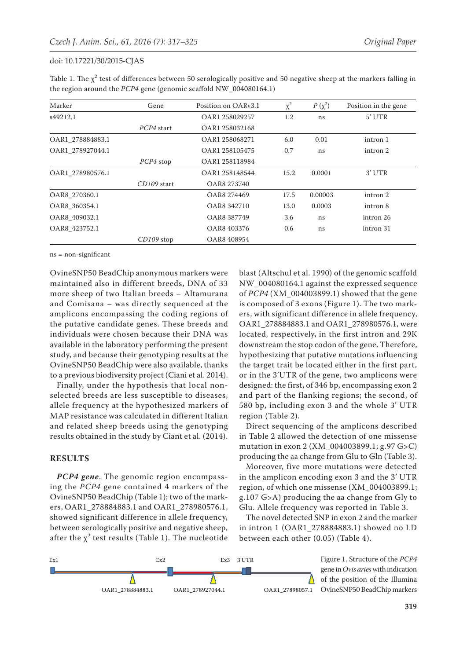| Marker           | Gene         | Position on OARv3.1 | $x^2$ | $P(\chi^2)$ | Position in the gene |
|------------------|--------------|---------------------|-------|-------------|----------------------|
| s49212.1         |              | OAR1 258029257      | 1.2   | ns          | 5' UTR               |
|                  | PCP4 start   | OAR1 258032168      |       |             |                      |
| OAR1 278884883.1 |              | OAR1 258068271      | 6.0   | 0.01        | intron 1             |
| OAR1 278927044.1 |              | OAR1 258105475      | 0.7   | ns          | intron 2             |
|                  | PCP4 stop    | OAR1 258118984      |       |             |                      |
| OAR1 278980576.1 |              | OAR1 258148544      | 15.2  | 0.0001      | 3' UTR               |
|                  | CD109 start  | OAR8 273740         |       |             |                      |
| OAR8 270360.1    |              | OAR8 274469         | 17.5  | 0.00003     | intron 2             |
| OAR8 360354.1    |              | OAR8 342710         | 13.0  | 0.0003      | intron 8             |
| OAR8 409032.1    |              | OAR8 387749         | 3.6   | ns          | intron 26            |
| OAR8 423752.1    |              | OAR8 403376         | 0.6   | ns          | intron 31            |
|                  | $CD109$ stop | OAR8 408954         |       |             |                      |

Table 1. The  $\chi^2$  test of differences between 50 serologically positive and 50 negative sheep at the markers falling in the region around the *PCP4* gene (genomic scaffold NW\_004080164.1)

ns = non-significant

OvineSNP50 BeadChip anonymous markers were maintained also in different breeds, DNA of 33 more sheep of two Italian breeds – Altamurana and Comisana – was directly sequenced at the amplicons encompassing the coding regions of the putative candidate genes. These breeds and individuals were chosen because their DNA was available in the laboratory performing the present study, and because their genotyping results at the OvineSNP50 BeadChip were also available, thanks to a previous biodiversity project (Ciani et al. 2014).

Finally, under the hypothesis that local nonselected breeds are less susceptible to diseases, allele frequency at the hypothesized markers of MAP resistance was calculated in different Italian and related sheep breeds using the genotyping results obtained in the study by Ciant et al. (2014).

## **RESULTS**

*PCP4 gene*. The genomic region encompassing the *PCP4* gene contained 4 markers of the OvineSNP50 BeadChip (Table 1); two of the markers, OAR1\_278884883.1 and OAR1\_278980576.1, showed significant difference in allele frequency, between serologically positive and negative sheep, after the  $\chi^2$  test results (Table 1). The nucleotide blast (Altschul et al. 1990) of the genomic scaffold NW\_004080164.1 against the expressed sequence of *PCP4* (XM\_004003899.1) showed that the gene is composed of 3 exons (Figure 1). The two markers, with significant difference in allele frequency, OAR1\_278884883.1 and OAR1\_278980576.1, were located, respectively, in the first intron and 29K downstream the stop codon of the gene. Therefore, hypothesizing that putative mutations influencing the target trait be located either in the first part, or in the 3'UTR of the gene, two amplicons were designed: the first, of 346 bp, encompassing exon 2 and part of the flanking regions; the second, of 580 bp, including exon 3 and the whole 3' UTR region (Table 2).

Direct sequencing of the amplicons described in Table 2 allowed the detection of one missense mutation in exon 2 (XM\_004003899.1; g.97 G>C) producing the aa change from Glu to Gln (Table 3).

Moreover, five more mutations were detected in the amplicon encoding exon 3 and the 3' UTR region, of which one missense (XM\_004003899.1; g.107 G>A) producing the aa change from Gly to Glu. Allele frequency was reported in Table 3.

The novel detected SNP in exon 2 and the marker in intron 1 (OAR1\_278884883.1) showed no LD between each other (0.05) (Table 4).



Figure 1. Structure of the *PCP4* gene in *Ovis aries* with indication of the position of the Illumina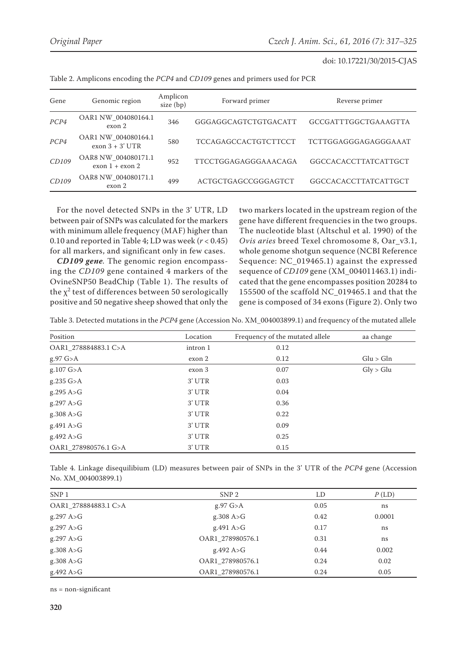| Gene  | Genomic region                           | Amplicon<br>size (bp) | Forward primer              | Reverse primer       |
|-------|------------------------------------------|-----------------------|-----------------------------|----------------------|
| PCP4  | OAR1 NW_004080164.1<br>exon 2            | 346                   | GGGAGGCAGTCTGTGACATT        | GCCGATTTGGCTGAAAGTTA |
| PCP4  | OAR1 NW 004080164.1<br>$exon 3 + 3' UTR$ | 580                   | <b>TCCAGAGCCACTGTCTTCCT</b> | TCTTGGAGGGAGAGGGAAAT |
| CD109 | OAR8 NW_004080171.1<br>$exon 1 + exon 2$ | 952                   | TTCCTGGAGAGGGAAACAGA        | GGCCACACCTTATCATTGCT |
| CD109 | OAR8 NW_004080171.1<br>exon <sub>2</sub> | 499                   | ACTGCTGAGCCGGGAGTCT         | GGCCACACCTTATCATTGCT |

Table 2. Amplicons encoding the *PCP4* and *CD109* genes and primers used for PCR

For the novel detected SNPs in the 3' UTR, LD between pair of SNPs was calculated for the markers with minimum allele frequency (MAF) higher than 0.10 and reported in Table 4; LD was week  $(r < 0.45)$ for all markers, and significant only in few cases.

*CD109 gene.* The genomic region encompassing the *CD109* gene contained 4 markers of the OvineSNP50 BeadChip (Table 1). The results of the  $\chi^2$  test of differences between 50 serologically positive and 50 negative sheep showed that only the

two markers located in the upstream region of the gene have different frequencies in the two groups. The nucleotide blast (Altschul et al. 1990) of the *Ovis aries* breed Texel chromosome 8, Oar\_v3.1, whole genome shotgun sequence (NCBI Reference Sequence: NC\_019465.1) against the expressed sequence of *CD109* gene (XM\_004011463.1) indicated that the gene encompasses position 20284 to 155500 of the scaffold NC\_019465.1 and that the gene is composed of 34 exons (Figure 2). Only two

Table 3. Detected mutations in the *PCP4* gene (Accession No. XM\_004003899.1) and frequency of the mutated allele

| Position               | Location | Frequency of the mutated allele | aa change                     |
|------------------------|----------|---------------------------------|-------------------------------|
| OAR1_278884883.1 C>A   | intron 1 | 0.12                            |                               |
| g.97 G > A             | exon 2   | 0.12                            | Glu > Gln                     |
| $g.107 \text{ G} > A$  | exon 3   | 0.07                            | $\mathrm{Gly} > \mathrm{Glu}$ |
| g. $235 \text{ G} > A$ | 3' UTR   | 0.03                            |                               |
| g.295 A>G              | 3' UTR   | 0.04                            |                               |
| g.297 A>G              | 3' UTR   | 0.36                            |                               |
| g.308 A > G            | 3' UTR   | 0.22                            |                               |
| g.491 A>G              | 3' UTR   | 0.09                            |                               |
| g.492 A>G              | 3' UTR   | 0.25                            |                               |
| OAR1_278980576.1 G>A   | 3' UTR   | 0.15                            |                               |

Table 4. Linkage disequilibium (LD) measures between pair of SNPs in the 3' UTR of the *PCP4* gene (Accession No. XM\_004003899.1)

| SNP <sub>1</sub>     | SNP <sub>2</sub> | LD   | P(LD)  |
|----------------------|------------------|------|--------|
| OAR1 278884883.1 C>A | g.97 G > A       | 0.05 | ns     |
| g.297 A > G          | g.308 A > G      | 0.42 | 0.0001 |
| g.297 A>G            | g.491 A > G      | 0.17 | ns     |
| g.297 A > G          | OAR1 278980576.1 | 0.31 | ns     |
| g.308 A > G          | g.492 A > G      | 0.44 | 0.002  |
| g.308 A > G          | OAR1 278980576.1 | 0.24 | 0.02   |
| g.492 A>G            | OAR1 278980576.1 | 0.24 | 0.05   |
|                      |                  |      |        |

ns = non-significant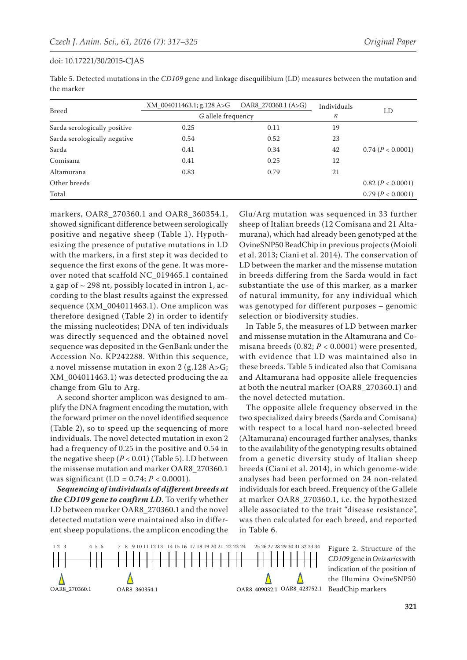| <b>Breed</b>                 | XM 004011463.1; g.128 A>G | OAR8 270360.1 (A>G) | Individuals |                   |
|------------------------------|---------------------------|---------------------|-------------|-------------------|
|                              | G allele frequency        | $\boldsymbol{n}$    | LD          |                   |
| Sarda serologically positive | 0.25                      | 0.11                | 19          |                   |
| Sarda serologically negative | 0.54                      | 0.52                | 23          |                   |
| Sarda                        | 0.41                      | 0.34                | 42          | 0.74 (P < 0.0001) |
| Comisana                     | 0.41                      | 0.25                | 12          |                   |
| Altamurana                   | 0.83                      | 0.79                | 21          |                   |
| Other breeds                 |                           |                     |             | 0.82 (P < 0.0001) |
| Total                        |                           |                     |             | 0.79 (P < 0.0001) |

Table 5. Detected mutations in the *CD109* gene and linkage disequilibium (LD) measures between the mutation and the marker

markers, OAR8\_270360.1 and OAR8\_360354.1, showed significant difference between serologically positive and negative sheep (Table 1). Hypothesizing the presence of putative mutations in LD with the markers, in a first step it was decided to sequence the first exons of the gene. It was moreover noted that scaffold NC\_019465.1 contained a gap of  $\sim$  298 nt, possibly located in intron 1, according to the blast results against the expressed sequence (XM\_004011463.1). One amplicon was therefore designed (Table 2) in order to identify the missing nucleotides; DNA of ten individuals was directly sequenced and the obtained novel sequence was deposited in the GenBank under the Accession No. KP242288. Within this sequence, a novel missense mutation in exon 2 (g.128 A>G; XM\_004011463.1) was detected producing the aa change from Glu to Arg.

A second shorter amplicon was designed to amplify the DNA fragment encoding the mutation, with the forward primer on the novel identified sequence (Table 2), so to speed up the sequencing of more individuals. The novel detected mutation in exon 2 had a frequency of 0.25 in the positive and 0.54 in the negative sheep  $(P < 0.01)$  (Table 5). LD between the missense mutation and marker OAR8\_270360.1 was significant (LD = 0.74; *P* < 0.0001).

*Sequencing of individuals of different breeds at the CD109 gene to confirm LD*. To verify whether LD between marker OAR8\_270360.1 and the novel detected mutation were maintained also in different sheep populations, the amplicon encoding the in Table 6.

Glu/Arg mutation was sequenced in 33 further sheep of Italian breeds (12 Comisana and 21 Altamurana), which had already been genotyped at the OvineSNP50 BeadChip in previous projects (Moioli et al. 2013; Ciani et al. 2014). The conservation of LD between the marker and the missense mutation in breeds differing from the Sarda would in fact substantiate the use of this marker, as a marker of natural immunity, for any individual which was genotyped for different purposes – genomic selection or biodiversity studies.

In Table 5, the measures of LD between marker and missense mutation in the Altamurana and Comisana breeds (0.82; *P* < 0.0001) were presented, with evidence that LD was maintained also in these breeds. Table 5 indicated also that Comisana and Altamurana had opposite allele frequencies at both the neutral marker (OAR8\_270360.1) and the novel detected mutation.

The opposite allele frequency observed in the two specialized dairy breeds (Sarda and Comisana) with respect to a local hard non-selected breed (Altamurana) encouraged further analyses, thanks to the availability of the genotyping results obtained from a genetic diversity study of Italian sheep breeds (Ciani et al. 2014), in which genome-wide analyses had been performed on 24 non-related individuals for each breed. Frequency of the *G* allele at marker OAR8\_270360.1, i.e. the hypothesized allele associated to the trait "disease resistance", was then calculated for each breed, and reported in Table 6.



Figure 2. Structure of the *CD109* gene in *Ovis aries* with indication of the position of the Illumina OvineSNP50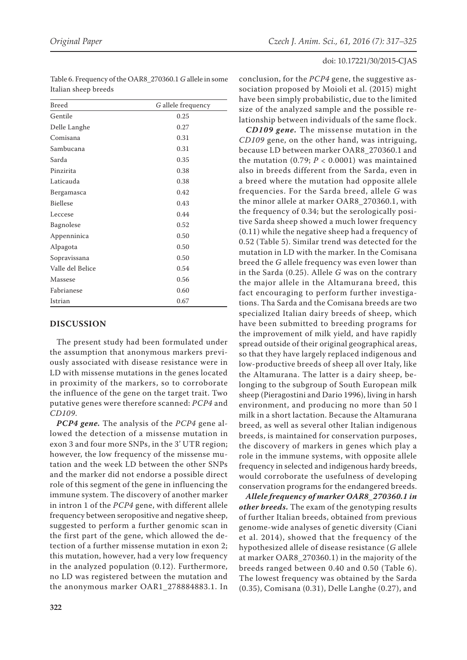|  | doi: 10.17221/30/2015-CJAS |  |  |
|--|----------------------------|--|--|
|--|----------------------------|--|--|

| Breed            | G allele frequency |
|------------------|--------------------|
| Gentile          | 0.25               |
| Delle Langhe     | 0.27               |
| Comisana         | 0.31               |
| Sambucana        | 0.31               |
| Sarda            | 0.35               |
| Pinzirita        | 0.38               |
| Laticauda        | 0.38               |
| Bergamasca       | 0.42               |
| <b>Biellese</b>  | 0.43               |
| Leccese          | 0.44               |
| Bagnolese        | 0.52               |
| Appenninica      | 0.50               |
| Alpagota         | 0.50               |
| Sopravissana     | 0.50               |
| Valle del Belice | 0.54               |
| Massese          | 0.56               |
| Fabrianese       | 0.60               |
| Istrian          | 0.67               |

Table 6. Frequency of the OAR8\_270360.1 *G* allele in some Italian sheep breeds

### **DISCUSSION**

The present study had been formulated under the assumption that anonymous markers previously associated with disease resistance were in LD with missense mutations in the genes located in proximity of the markers, so to corroborate the influence of the gene on the target trait. Two putative genes were therefore scanned: *PCP4* and *CD109*.

*PCP4 gene.* The analysis of the *PCP4* gene allowed the detection of a missense mutation in exon 3 and four more SNPs, in the 3' UTR region; however, the low frequency of the missense mutation and the week LD between the other SNPs and the marker did not endorse a possible direct role of this segment of the gene in influencing the immune system. The discovery of another marker in intron 1 of the *PCP4* gene, with different allele frequency between seropositive and negative sheep, suggested to perform a further genomic scan in the first part of the gene, which allowed the detection of a further missense mutation in exon 2; this mutation, however, had a very low frequency in the analyzed population (0.12). Furthermore, no LD was registered between the mutation and the anonymous marker OAR1\_278884883.1. In

conclusion, for the *PCP4* gene, the suggestive association proposed by Moioli et al. (2015) might have been simply probabilistic, due to the limited size of the analyzed sample and the possible relationship between individuals of the same flock.

*CD109 gene.* The missense mutation in the *CD109* gene, on the other hand, was intriguing, because LD between marker OAR8\_270360.1 and the mutation  $(0.79; P < 0.0001)$  was maintained also in breeds different from the Sarda, even in a breed where the mutation had opposite allele frequencies. For the Sarda breed, allele *G* was the minor allele at marker OAR8\_270360.1, with the frequency of 0.34; but the serologically positive Sarda sheep showed a much lower frequency (0.11) while the negative sheep had a frequency of 0.52 (Table 5). Similar trend was detected for the mutation in LD with the marker. In the Comisana breed the *G* allele frequency was even lower than in the Sarda (0.25). Allele *G* was on the contrary the major allele in the Altamurana breed, this fact encouraging to perform further investigations. Tha Sarda and the Comisana breeds are two specialized Italian dairy breeds of sheep, which have been submitted to breeding programs for the improvement of milk yield, and have rapidly spread outside of their original geographical areas, so that they have largely replaced indigenous and low-productive breeds of sheep all over Italy, like the Altamurana. The latter is a dairy sheep, belonging to the subgroup of South European milk sheep (Pieragostini and Dario 1996), living in harsh environment, and producing no more than 50 l milk in a short lactation. Because the Altamurana breed, as well as several other Italian indigenous breeds, is maintained for conservation purposes, the discovery of markers in genes which play a role in the immune systems, with opposite allele frequency in selected and indigenous hardy breeds, would corroborate the usefulness of developing conservation programs for the endangered breeds.

*Allele frequency of marker OAR8\_270360.1 in other breeds.* The exam of the genotyping results of further Italian breeds, obtained from previous genome-wide analyses of genetic diversity (Ciani et al. 2014), showed that the frequency of the hypothesized allele of disease resistance (*G* allele at marker OAR8\_270360.1) in the majority of the breeds ranged between 0.40 and 0.50 (Table 6). The lowest frequency was obtained by the Sarda (0.35), Comisana (0.31), Delle Langhe (0.27), and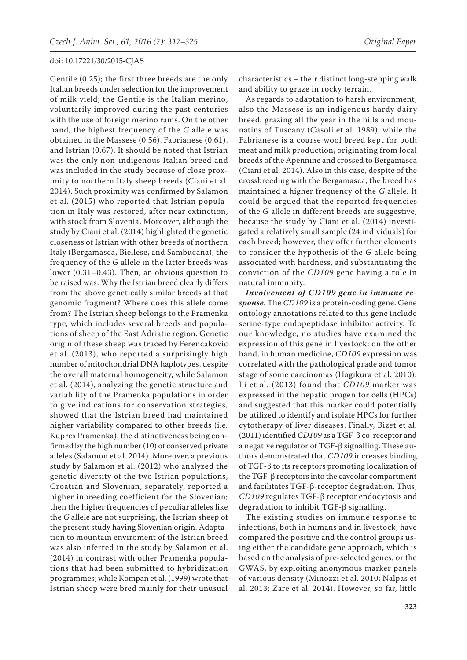Gentile (0.25); the first three breeds are the only Italian breeds under selection for the improvement of milk yield; the Gentile is the Italian merino, voluntarily improved during the past centuries with the use of foreign merino rams. On the other hand, the highest frequency of the *G* allele was obtained in the Massese (0.56), Fabrianese (0.61), and Istrian (0.67). It should be noted that Istrian was the only non-indigenous Italian breed and was included in the study because of close proximity to northern Italy sheep breeds (Ciani et al. 2014). Such proximity was confirmed by Salamon et al. (2015) who reported that Istrian population in Italy was restored, after near extinction, with stock from Slovenia. Moreover, although the study by Ciani et al. (2014) highlighted the genetic closeness of Istrian with other breeds of northern Italy (Bergamasca, Biellese, and Sambucana), the frequency of the *G* allele in the latter breeds was lower (0.31–0.43). Then, an obvious question to be raised was: Why the Istrian breed clearly differs from the above genetically similar breeds at that genomic fragment? Where does this allele come from? The Istrian sheep belongs to the Pramenka type, which includes several breeds and populations of sheep of the East Adriatic region. Genetic origin of these sheep was traced by Ferencakovic et al. (2013), who reported a surprisingly high number of mitochondrial DNA haplotypes, despite the overall maternal homogeneity, while Salamon et al. (2014), analyzing the genetic structure and variability of the Pramenka populations in order to give indications for conservation strategies, showed that the Istrian breed had maintained higher variability compared to other breeds (i.e. Kupres Pramenka), the distinctiveness being confirmed by the high number (10) of conserved private alleles (Salamon et al. 2014). Moreover, a previous study by Salamon et al. (2012) who analyzed the genetic diversity of the two Istrian populations, Croatian and Slovenian, separately, reported a higher inbreeding coefficient for the Slovenian; then the higher frequencies of peculiar alleles like the *G* allele are not surprising, the Istrian sheep of the present study having Slovenian origin. Adaptation to mountain enviroment of the Istrian breed was also inferred in the study by Salamon et al. (2014) in contrast with other Pramenka populations that had been submitted to hybridization programmes; while Kompan et al. (1999) wrote that Istrian sheep were bred mainly for their unusual

characteristics – their distinct long-stepping walk and ability to graze in rocky terrain.

As regards to adaptation to harsh environment, also the Massese is an indigenous hardy dairy breed, grazing all the year in the hills and mounatins of Tuscany (Casoli et al*.* 1989), while the Fabrianese is a course wool breed kept for both meat and milk production, originating from local breeds of the Apennine and crossed to Bergamasca (Ciani et al. 2014). Also in this case, despite of the crossbreeding with the Bergamasca, the breed has maintained a higher frequency of the *G* allele. It could be argued that the reported frequencies of the *G* allele in different breeds are suggestive, because the study by Ciani et al. (2014) investigated a relatively small sample (24 individuals) for each breed; however, they offer further elements to consider the hypothesis of the *G* allele being associated with hardness, and substantiating the conviction of the *CD109* gene having a role in natural immunity.

*Involvement of CD109 gene in immune response*. The *CD109* is a protein-coding gene. Gene ontology annotations related to this gene include serine-type endopeptidase inhibitor activity. To our knowledge, no studies have examined the expression of this gene in livestock; on the other hand, in human medicine, *CD109* expression was correlated with the pathological grade and tumor stage of some carcinomas (Hagikura et al. 2010). Li et al. (2013) found that *CD109* marker was expressed in the hepatic progenitor cells (HPCs) and suggested that this marker could potentially be utilized to identify and isolate HPCs for further cytotherapy of liver diseases. Finally, Bizet et al. (2011) identified *CD109* as a TGF-β co-receptor and a negative regulator of TGF-β signalling. These authors demonstrated that *CD109* increases binding of TGF-β to its receptors promoting localization of the TGF-β receptors into the caveolar compartment and facilitates TGF-β-receptor degradation. Thus, *CD109* regulates TGF-β receptor endocytosis and degradation to inhibit TGF-β signalling.

The existing studies on immune response to infections, both in humans and in livestock, have compared the positive and the control groups using either the candidate gene approach, which is based on the analysis of pre-selected genes, or the GWAS, by exploiting anonymous marker panels of various density (Minozzi et al. 2010; Nalpas et al. 2013; Zare et al. 2014). However, so far, little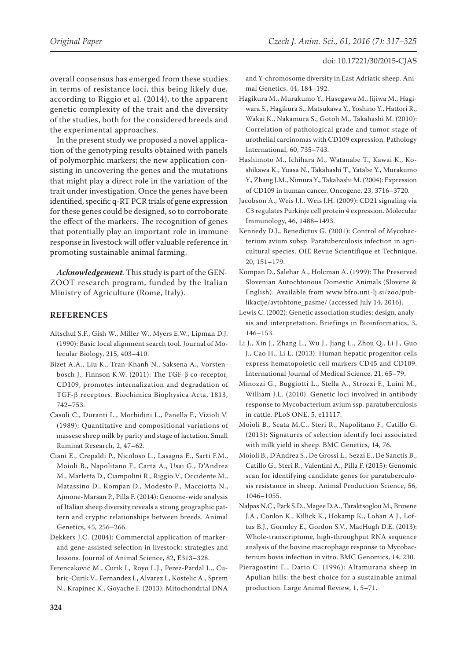overall consensus has emerged from these studies in terms of resistance loci, this being likely due, according to Riggio et al. (2014), to the apparent genetic complexity of the trait and the diversity of the studies, both for the considered breeds and the experimental approaches.

In the present study we proposed a novel application of the genotyping results obtained with panels of polymorphic markers; the new application consisting in uncovering the genes and the mutations that might play a direct role in the variation of the trait under investigation. Once the genes have been identified, specific q-RT PCR trials of gene expression for these genes could be designed, so to corroborate the effect of the markers. The recognition of genes that potentially play an important role in immune response in livestock will offer valuable reference in promoting sustainable animal farming.

*Acknowledgement.* This study is part of the GEN-ZOOT research program, funded by the Italian Ministry of Agriculture (Rome, Italy).

## **References**

- Altschul S.F., Gish W., Miller W., Myers E.W., Lipman D.J. (1990): Basic local alignment search tool. Journal of Molecular Biology, 215, 403–410.
- Bizet A.A., Liu K., Tran-Khanh N., Saksena A., Vorstenbosch J., Finnson K.W. (2011): The TGF-β co-receptor, CD109, promotes internalization and degradation of TGF-β receptors. Biochimica Biophysica Acta, 1813, 742–753.
- Casoli C., Duranti L., Morbidini L., Panella F., Vizioli V. (1989): Quantitative and compositional variations of massese sheep milk by parity and stage of lactation. Small Ruminat Research, 2, 47–62.
- Ciani E., Crepaldi P., Nicoloso L., Lasagna E., Sarti F.M., Moioli B., Napolitano F., Carta A., Usai G., D'Andrea M., Marletta D., Ciampolini R., Riggio V., Occidente M., Matassino D., Kompan D., Modesto P., Macciotta N., Ajmone-Marsan P., Pilla F. (2014): Genome-wide analysis of Italian sheep diversity reveals a strong geographic pattern and cryptic relationships between breeds. Animal Genetics, 45, 256–266.
- Dekkers J.C. (2004): Commercial application of markerand gene-assisted selection in livestock: strategies and lessons. Journal of Animal Science, 82, E313–328.
- Ferencakovic M., Curik I., Royo L.J., Perez-Pardal L., Cubric-Curik V., Fernandez I., Alvarez I., Kostelic A., Sprem N., Krapinec K., Goyache F. (2013): Mitochondrial DNA

and Y-chromosome diversity in East Adriatic sheep. Animal Genetics, 44, 184–192.

- Hagikura M., Murakumo Y., Hasegawa M., Jijiwa M., Hagiwara S., Hagikura S., Matsukawa Y., Yoshino Y., Hattori R., Wakai K., Nakamura S., Gotoh M., Takahashi M. (2010): Correlation of pathological grade and tumor stage of urothelial carcinomas with CD109 expression. Pathology International, 60, 735–743.
- Hashimoto M., Ichihara M., Watanabe T., Kawai K., Koshikawa K., Yuasa N., Takahashi T., Yatabe Y., Murakumo Y., Zhang J.M., Nimura Y., Takahashi M. (2004): Expression of CD109 in human cancer. Oncogene, 23, 3716–3720.
- Jacobson A., Weis J.J., Weis J.H. (2009): CD21 signaling via C3 regulates Purkinje cell protein 4 expression. Molecular Immunology, 46, 1488–1493.
- Kennedy D.J., Benedictus G. (2001): Control of Mycobacterium avium subsp. Paratuberculosis infection in agricultural species. OIE Revue Scientifique et Technique, 20, 151–179.
- Kompan D., Salehar A., Holcman A. (1999): The Preserved Slovenian Autochtonous Domestic Animals (Slovene & English). Available from www.bfro.uni-lj.si/zoo/publikacije/avtohtone\_pasme/ (accessed July 14, 2016).
- Lewis C. (2002): Genetic association studies: design, analysis and interpretation. Briefings in Bioinformatics, 3, 146–153.
- Li J., Xin J., Zhang L., Wu J., Jiang L., Zhou Q., Li J., Guo J., Cao H., Li L. (2013): Human hepatic progenitor cells express hematopoietic cell markers CD45 and CD109. International Journal of Medical Science, 21, 65–79.
- Minozzi G., Buggiotti L., Stella A., Strozzi F., Luini M., William J.L. (2010): Genetic loci involved in antibody response to Mycobacterium avium ssp. paratuberculosis in cattle. PLoS ONE, 5, e11117.
- Moioli B., Scata M.C., Steri R., Napolitano F., Catillo G. (2013): Signatures of selection identify loci associated with milk yield in sheep. BMC Genetics, 14, 76.
- Moioli B., D'Andrea S., De Grossi L., Sezzi E., De Sanctis B., Catillo G., Steri R., Valentini A., Pilla F. (2015): Genomic scan for identifying candidate genes for paratuberculosis resistance in sheep. Animal Production Science, 56, 1046–1055.
- Nalpas N.C., Park S.D., Magee D.A., Taraktsoglou M., Browne J.A., Conlon K., Killick K., Hokamp K., Lohan A.J., Loftus B.J., Gormley E., Gordon S.V., MacHugh D.E. (2013): Whole-transcriptome, high-throughput RNA sequence analysis of the bovine macrophage response to Mycobacterium bovis infection in vitro. BMC Genomics, 14, 230.
- Pieragostini E., Dario C. (1996): Altamurana sheep in Apulian hills: the best choice for a sustainable animal production. Large Animal Review, 1, 5–71.